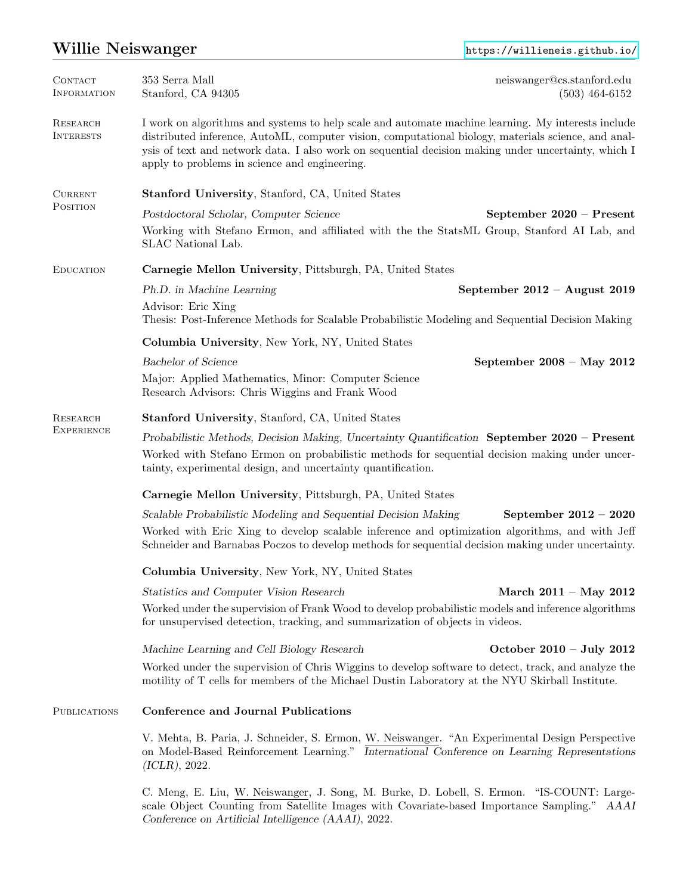# Willie Neiswanger <https://willieneis.github.io/>

| <b>CONTACT</b><br>INFORMATION        | 353 Serra Mall<br>Stanford, CA 94305                                                                                                                                                                                                                                                                                                                              | neiswanger@cs.stanford.edu<br>$(503)$ 464-6152 |  |
|--------------------------------------|-------------------------------------------------------------------------------------------------------------------------------------------------------------------------------------------------------------------------------------------------------------------------------------------------------------------------------------------------------------------|------------------------------------------------|--|
| <b>RESEARCH</b><br><b>INTERESTS</b>  | I work on algorithms and systems to help scale and automate machine learning. My interests include<br>distributed inference, AutoML, computer vision, computational biology, materials science, and anal-<br>ysis of text and network data. I also work on sequential decision making under uncertainty, which I<br>apply to problems in science and engineering. |                                                |  |
| <b>CURRENT</b><br>POSITION           | <b>Stanford University, Stanford, CA, United States</b>                                                                                                                                                                                                                                                                                                           |                                                |  |
|                                      | Postdoctoral Scholar, Computer Science<br>Working with Stefano Ermon, and affiliated with the the StatsML Group, Stanford AI Lab, and<br>SLAC National Lab.                                                                                                                                                                                                       | September 2020 - Present                       |  |
| <b>EDUCATION</b>                     | Carnegie Mellon University, Pittsburgh, PA, United States                                                                                                                                                                                                                                                                                                         |                                                |  |
|                                      | Ph.D. in Machine Learning<br>Advisor: Eric Xing<br>Thesis: Post-Inference Methods for Scalable Probabilistic Modeling and Sequential Decision Making                                                                                                                                                                                                              | September $2012 -$ August 2019                 |  |
|                                      | Columbia University, New York, NY, United States                                                                                                                                                                                                                                                                                                                  |                                                |  |
|                                      | <b>Bachelor</b> of Science<br>Major: Applied Mathematics, Minor: Computer Science<br>Research Advisors: Chris Wiggins and Frank Wood                                                                                                                                                                                                                              | September $2008 - May 2012$                    |  |
| <b>RESEARCH</b><br><b>EXPERIENCE</b> | <b>Stanford University, Stanford, CA, United States</b>                                                                                                                                                                                                                                                                                                           |                                                |  |
|                                      | Probabilistic Methods, Decision Making, Uncertainty Quantification September $2020$ – Present<br>Worked with Stefano Ermon on probabilistic methods for sequential decision making under uncer-<br>tainty, experimental design, and uncertainty quantification.                                                                                                   |                                                |  |
|                                      | Carnegie Mellon University, Pittsburgh, PA, United States                                                                                                                                                                                                                                                                                                         |                                                |  |
|                                      | Scalable Probabilistic Modeling and Sequential Decision Making<br>Worked with Eric Xing to develop scalable inference and optimization algorithms, and with Jeff<br>Schneider and Barnabas Poczos to develop methods for sequential decision making under uncertainty.                                                                                            | September $2012 - 2020$                        |  |
|                                      | Columbia University, New York, NY, United States                                                                                                                                                                                                                                                                                                                  |                                                |  |
|                                      | Statistics and Computer Vision Research                                                                                                                                                                                                                                                                                                                           | March $2011 - May 2012$                        |  |
|                                      | Worked under the supervision of Frank Wood to develop probabilistic models and inference algorithms<br>for unsupervised detection, tracking, and summarization of objects in videos.                                                                                                                                                                              |                                                |  |
|                                      | Machine Learning and Cell Biology Research                                                                                                                                                                                                                                                                                                                        | October $2010 - July 2012$                     |  |
|                                      | Worked under the supervision of Chris Wiggins to develop software to detect, track, and analyze the<br>motility of T cells for members of the Michael Dustin Laboratory at the NYU Skirball Institute.                                                                                                                                                            |                                                |  |
| <b>PUBLICATIONS</b>                  | Conference and Journal Publications                                                                                                                                                                                                                                                                                                                               |                                                |  |
|                                      | V. Mehta, B. Paria, J. Schneider, S. Ermon, W. Neiswanger. "An Experimental Design Perspective<br>on Model-Based Reinforcement Learning." International Conference on Learning Representations<br>(ICLR), 2022.                                                                                                                                                   |                                                |  |
|                                      | C. Meng, E. Liu, W. Neiswanger, J. Song, M. Burke, D. Lobell, S. Ermon. "IS-COUNT: Large-<br>scale Object Counting from Satellite Images with Covariate-based Importance Sampling." AAAI                                                                                                                                                                          |                                                |  |

Conference on Artificial Intelligence (AAAI), 2022.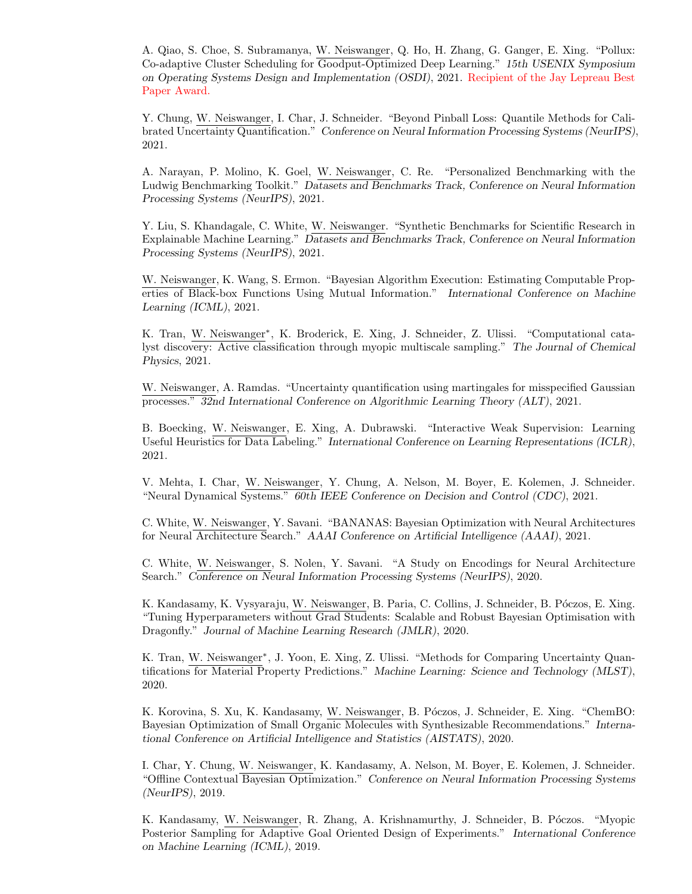A. Qiao, S. Choe, S. Subramanya, W. Neiswanger, Q. Ho, H. Zhang, G. Ganger, E. Xing. "Pollux: Co-adaptive Cluster Scheduling for Goodput-Optimized Deep Learning." 15th USENIX Symposium on Operating Systems Design and Implementation (OSDI), 2021. Recipient of the Jay Lepreau Best Paper Award.

Y. Chung, W. Neiswanger, I. Char, J. Schneider. "Beyond Pinball Loss: Quantile Methods for Calibrated Uncertainty Quantification." Conference on Neural Information Processing Systems (NeurIPS), 2021.

A. Narayan, P. Molino, K. Goel, W. Neiswanger, C. Re. "Personalized Benchmarking with the Ludwig Benchmarking Toolkit." Datasets and Benchmarks Track, Conference on Neural Information Processing Systems (NeurIPS), 2021.

Y. Liu, S. Khandagale, C. White, W. Neiswanger. "Synthetic Benchmarks for Scientific Research in Explainable Machine Learning." Datasets and Benchmarks Track, Conference on Neural Information Processing Systems (NeurIPS), 2021.

W. Neiswanger, K. Wang, S. Ermon. "Bayesian Algorithm Execution: Estimating Computable Properties of Black-box Functions Using Mutual Information." International Conference on Machine Learning (ICML), 2021.

K. Tran, W. Neiswanger<sup>∗</sup> , K. Broderick, E. Xing, J. Schneider, Z. Ulissi. "Computational catalyst discovery: Active classification through myopic multiscale sampling." The Journal of Chemical Physics, 2021.

W. Neiswanger, A. Ramdas. "Uncertainty quantification using martingales for misspecified Gaussian processes." 32nd International Conference on Algorithmic Learning Theory (ALT), 2021.

B. Boecking, W. Neiswanger, E. Xing, A. Dubrawski. "Interactive Weak Supervision: Learning Useful Heuristics for Data Labeling." International Conference on Learning Representations (ICLR), 2021.

V. Mehta, I. Char, W. Neiswanger, Y. Chung, A. Nelson, M. Boyer, E. Kolemen, J. Schneider. "Neural Dynamical Systems." 60th IEEE Conference on Decision and Control (CDC), 2021.

C. White, W. Neiswanger, Y. Savani. "BANANAS: Bayesian Optimization with Neural Architectures for Neural Architecture Search." AAAI Conference on Artificial Intelligence (AAAI), 2021.

C. White, W. Neiswanger, S. Nolen, Y. Savani. "A Study on Encodings for Neural Architecture Search." Conference on Neural Information Processing Systems (NeurIPS), 2020.

K. Kandasamy, K. Vysyaraju, W. Neiswanger, B. Paria, C. Collins, J. Schneider, B. Póczos, E. Xing. "Tuning Hyperparameters without Grad Students: Scalable and Robust Bayesian Optimisation with Dragonfly." Journal of Machine Learning Research (JMLR), 2020.

K. Tran, W. Neiswanger<sup>\*</sup>, J. Yoon, E. Xing, Z. Ulissi. "Methods for Comparing Uncertainty Quantifications for Material Property Predictions." Machine Learning: Science and Technology (MLST), 2020.

K. Korovina, S. Xu, K. Kandasamy, W. Neiswanger, B. Póczos, J. Schneider, E. Xing. "ChemBO: Bayesian Optimization of Small Organic Molecules with Synthesizable Recommendations." International Conference on Artificial Intelligence and Statistics (AISTATS), 2020.

I. Char, Y. Chung, W. Neiswanger, K. Kandasamy, A. Nelson, M. Boyer, E. Kolemen, J. Schneider. "Offline Contextual Bayesian Optimization." Conference on Neural Information Processing Systems (NeurIPS), 2019.

K. Kandasamy, W. Neiswanger, R. Zhang, A. Krishnamurthy, J. Schneider, B. Póczos. "Myopic Posterior Sampling for Adaptive Goal Oriented Design of Experiments." International Conference on Machine Learning (ICML), 2019.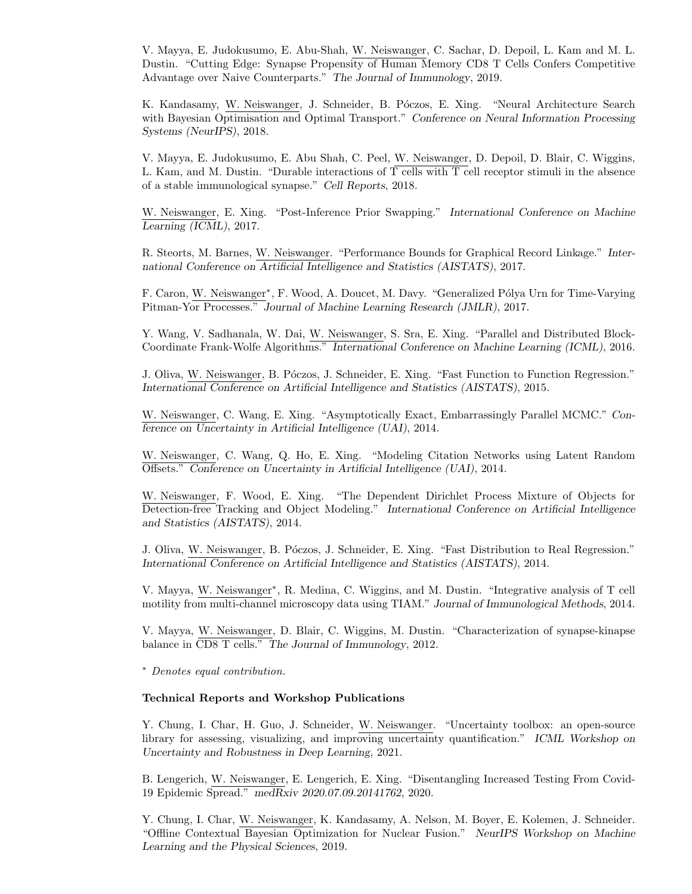V. Mayya, E. Judokusumo, E. Abu-Shah, W. Neiswanger, C. Sachar, D. Depoil, L. Kam and M. L. Dustin. "Cutting Edge: Synapse Propensity of Human Memory CD8 T Cells Confers Competitive Advantage over Naive Counterparts." The Journal of Immunology, 2019.

K. Kandasamy, W. Neiswanger, J. Schneider, B. Póczos, E. Xing. "Neural Architecture Search with Bayesian Optimisation and Optimal Transport." Conference on Neural Information Processing Systems (NeurIPS), 2018.

V. Mayya, E. Judokusumo, E. Abu Shah, C. Peel, W. Neiswanger, D. Depoil, D. Blair, C. Wiggins, L. Kam, and M. Dustin. "Durable interactions of T cells with T cell receptor stimuli in the absence of a stable immunological synapse." Cell Reports, 2018.

W. Neiswanger, E. Xing. "Post-Inference Prior Swapping." International Conference on Machine Learning (ICML), 2017.

R. Steorts, M. Barnes, W. Neiswanger. "Performance Bounds for Graphical Record Linkage." International Conference on Artificial Intelligence and Statistics (AISTATS), 2017.

F. Caron, W. Neiswanger<sup>∗</sup>, F. Wood, A. Doucet, M. Davy. "Generalized Pólya Urn for Time-Varying Pitman-Yor Processes." Journal of Machine Learning Research (JMLR), 2017.

Y. Wang, V. Sadhanala, W. Dai, W. Neiswanger, S. Sra, E. Xing. "Parallel and Distributed Block-Coordinate Frank-Wolfe Algorithms." International Conference on Machine Learning (ICML), 2016.

J. Oliva, W. Neiswanger, B. Póczos, J. Schneider, E. Xing. "Fast Function to Function Regression." International Conference on Artificial Intelligence and Statistics (AISTATS), 2015.

W. Neiswanger, C. Wang, E. Xing. "Asymptotically Exact, Embarrassingly Parallel MCMC." Conference on Uncertainty in Artificial Intelligence (UAI), 2014.

W. Neiswanger, C. Wang, Q. Ho, E. Xing. "Modeling Citation Networks using Latent Random Offsets." Conference on Uncertainty in Artificial Intelligence (UAI), 2014.

W. Neiswanger, F. Wood, E. Xing. "The Dependent Dirichlet Process Mixture of Objects for Detection-free Tracking and Object Modeling." International Conference on Artificial Intelligence and Statistics (AISTATS), 2014.

J. Oliva, W. Neiswanger, B. Póczos, J. Schneider, E. Xing. "Fast Distribution to Real Regression." International Conference on Artificial Intelligence and Statistics (AISTATS), 2014.

V. Mayya, W. Neiswanger<sup>∗</sup> , R. Medina, C. Wiggins, and M. Dustin. "Integrative analysis of T cell motility from multi-channel microscopy data using TIAM." Journal of Immunological Methods, 2014.

V. Mayya, W. Neiswanger, D. Blair, C. Wiggins, M. Dustin. "Characterization of synapse-kinapse balance in CD8 T cells." The Journal of Immunology, 2012.

<sup>∗</sup> Denotes equal contribution.

## Technical Reports and Workshop Publications

Y. Chung, I. Char, H. Guo, J. Schneider, W. Neiswanger. "Uncertainty toolbox: an open-source library for assessing, visualizing, and improving uncertainty quantification." ICML Workshop on Uncertainty and Robustness in Deep Learning, 2021.

B. Lengerich, W. Neiswanger, E. Lengerich, E. Xing. "Disentangling Increased Testing From Covid-19 Epidemic Spread." medRxiv 2020.07.09.20141762, 2020.

Y. Chung, I. Char, W. Neiswanger, K. Kandasamy, A. Nelson, M. Boyer, E. Kolemen, J. Schneider. "Offline Contextual Bayesian Optimization for Nuclear Fusion." NeurIPS Workshop on Machine Learning and the Physical Sciences, 2019.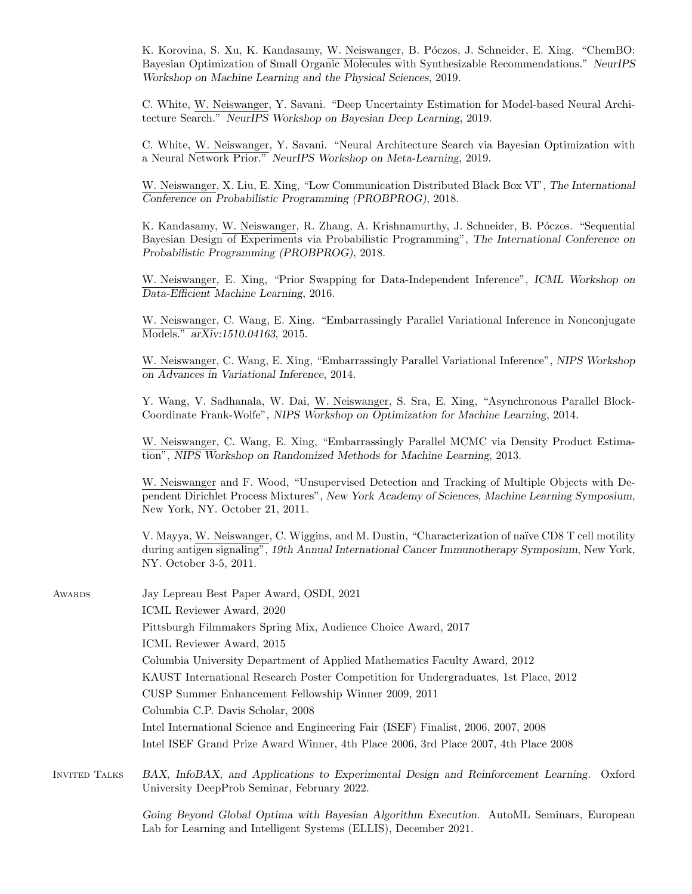K. Korovina, S. Xu, K. Kandasamy, W. Neiswanger, B. Póczos, J. Schneider, E. Xing. "ChemBO: Bayesian Optimization of Small Organic Molecules with Synthesizable Recommendations." NeurIPS Workshop on Machine Learning and the Physical Sciences, 2019.

C. White, W. Neiswanger, Y. Savani. "Deep Uncertainty Estimation for Model-based Neural Architecture Search." NeurIPS Workshop on Bayesian Deep Learning, 2019.

C. White, W. Neiswanger, Y. Savani. "Neural Architecture Search via Bayesian Optimization with a Neural Network Prior." NeurIPS Workshop on Meta-Learning, 2019.

W. Neiswanger, X. Liu, E. Xing, "Low Communication Distributed Black Box VI", The International Conference on Probabilistic Programming (PROBPROG), 2018.

K. Kandasamy, W. Neiswanger, R. Zhang, A. Krishnamurthy, J. Schneider, B. Póczos. "Sequential Bayesian Design of Experiments via Probabilistic Programming", The International Conference on Probabilistic Programming (PROBPROG), 2018.

W. Neiswanger, E. Xing, "Prior Swapping for Data-Independent Inference", ICML Workshop on Data-Efficient Machine Learning, 2016.

W. Neiswanger, C. Wang, E. Xing. "Embarrassingly Parallel Variational Inference in Nonconjugate Models." arXiv:1510.04163, 2015.

W. Neiswanger, C. Wang, E. Xing, "Embarrassingly Parallel Variational Inference", NIPS Workshop on Advances in Variational Inference, 2014.

Y. Wang, V. Sadhanala, W. Dai, W. Neiswanger, S. Sra, E. Xing, "Asynchronous Parallel Block-Coordinate Frank-Wolfe", NIPS Workshop on Optimization for Machine Learning, 2014.

W. Neiswanger, C. Wang, E. Xing, "Embarrassingly Parallel MCMC via Density Product Estimation", NIPS Workshop on Randomized Methods for Machine Learning, 2013.

W. Neiswanger and F. Wood, "Unsupervised Detection and Tracking of Multiple Objects with Dependent Dirichlet Process Mixtures", New York Academy of Sciences, Machine Learning Symposium, New York, NY. October 21, 2011.

V. Mayya, W. Neiswanger, C. Wiggins, and M. Dustin, "Characterization of na¨ıve CD8 T cell motility during antigen signaling", 19th Annual International Cancer Immunotherapy Symposium, New York, NY. October 3-5, 2011.

| AWARDS        | Jay Lepreau Best Paper Award, OSDI, 2021                                                 |  |  |  |
|---------------|------------------------------------------------------------------------------------------|--|--|--|
|               | ICML Reviewer Award, 2020                                                                |  |  |  |
|               | Pittsburgh Filmmakers Spring Mix, Audience Choice Award, 2017                            |  |  |  |
|               | ICML Reviewer Award, 2015                                                                |  |  |  |
|               | Columbia University Department of Applied Mathematics Faculty Award, 2012                |  |  |  |
|               | KAUST International Research Poster Competition for Undergraduates, 1st Place, 2012      |  |  |  |
|               | CUSP Summer Enhancement Fellowship Winner 2009, 2011                                     |  |  |  |
|               | Columbia C.P. Davis Scholar, 2008                                                        |  |  |  |
|               | Intel International Science and Engineering Fair (ISEF) Finalist, 2006, 2007, 2008       |  |  |  |
|               | Intel ISEF Grand Prize Award Winner, 4th Place 2006, 3rd Place 2007, 4th Place 2008      |  |  |  |
| INVITED TALKS | BAX, InfoBAX, and Applications to Experimental Design and Reinforcement Learning. Oxford |  |  |  |

University DeepProb Seminar, February 2022.

Going Beyond Global Optima with Bayesian Algorithm Execution. AutoML Seminars, European Lab for Learning and Intelligent Systems (ELLIS), December 2021.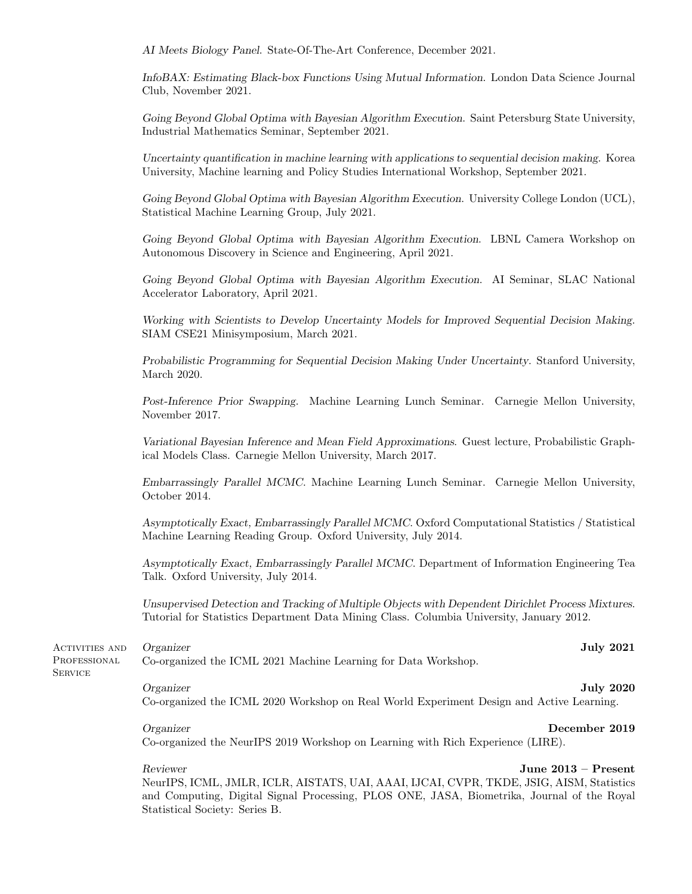AI Meets Biology Panel. State-Of-The-Art Conference, December 2021.

InfoBAX: Estimating Black-box Functions Using Mutual Information. London Data Science Journal Club, November 2021.

Going Beyond Global Optima with Bayesian Algorithm Execution. Saint Petersburg State University, Industrial Mathematics Seminar, September 2021.

Uncertainty quantification in machine learning with applications to sequential decision making. Korea University, Machine learning and Policy Studies International Workshop, September 2021.

Going Beyond Global Optima with Bayesian Algorithm Execution. University College London (UCL), Statistical Machine Learning Group, July 2021.

Going Beyond Global Optima with Bayesian Algorithm Execution. LBNL Camera Workshop on Autonomous Discovery in Science and Engineering, April 2021.

Going Beyond Global Optima with Bayesian Algorithm Execution. AI Seminar, SLAC National Accelerator Laboratory, April 2021.

Working with Scientists to Develop Uncertainty Models for Improved Sequential Decision Making. SIAM CSE21 Minisymposium, March 2021.

Probabilistic Programming for Sequential Decision Making Under Uncertainty. Stanford University, March 2020.

Post-Inference Prior Swapping. Machine Learning Lunch Seminar. Carnegie Mellon University, November 2017.

Variational Bayesian Inference and Mean Field Approximations. Guest lecture, Probabilistic Graphical Models Class. Carnegie Mellon University, March 2017.

Embarrassingly Parallel MCMC. Machine Learning Lunch Seminar. Carnegie Mellon University, October 2014.

Asymptotically Exact, Embarrassingly Parallel MCMC. Oxford Computational Statistics / Statistical Machine Learning Reading Group. Oxford University, July 2014.

Asymptotically Exact, Embarrassingly Parallel MCMC. Department of Information Engineering Tea Talk. Oxford University, July 2014.

Unsupervised Detection and Tracking of Multiple Objects with Dependent Dirichlet Process Mixtures. Tutorial for Statistics Department Data Mining Class. Columbia University, January 2012.

Activities and PROFESSIONAL Organizer July 2021

**SERVICE** 

Co-organized the ICML 2021 Machine Learning for Data Workshop.

Organizer July 2020 Co-organized the ICML 2020 Workshop on Real World Experiment Design and Active Learning.

Organizer December 2019

Co-organized the NeurIPS 2019 Workshop on Learning with Rich Experience (LIRE).

Reviewer June 2013 – Present

NeurIPS, ICML, JMLR, ICLR, AISTATS, UAI, AAAI, IJCAI, CVPR, TKDE, JSIG, AISM, Statistics and Computing, Digital Signal Processing, PLOS ONE, JASA, Biometrika, Journal of the Royal Statistical Society: Series B.